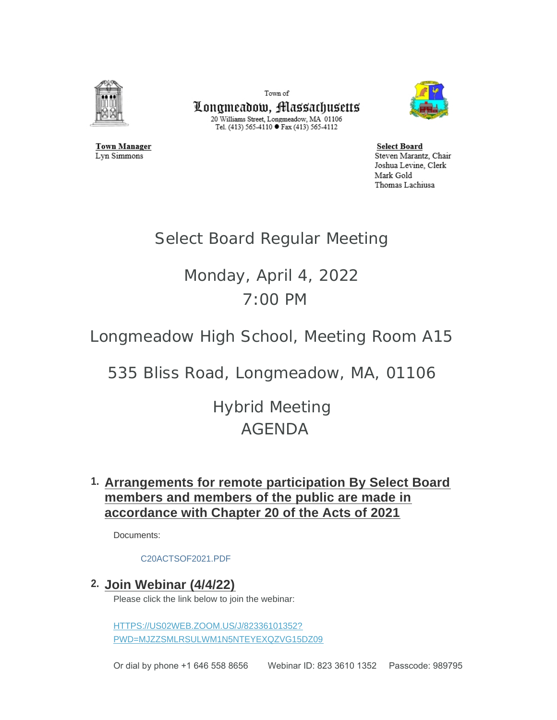

**Town Manager** 

Lyn Simmons

Town of

Longmeadow, Massachusetts 20 Williams Street, Longmeadow, MA 01106 Tel. (413) 565-4110 ● Fax (413) 565-4112



**Select Board** Steven Marantz, Chair Joshua Levine, Clerk Mark Gold Thomas Lachiusa

# Select Board Regular Meeting

# Monday, April 4, 2022 7:00 PM

Longmeadow High School, Meeting Room A15

535 Bliss Road, Longmeadow, MA, 01106

Hybrid Meeting AGENDA

# **Arrangements for remote participation By Select Board 1. members and members of the public are made in accordance with Chapter 20 of the Acts of 2021**

Documents:

#### [C20ACTSOF2021.PDF](https://www.longmeadow.org/AgendaCenter/ViewFile/Item/2204?fileID=21958)

**Join Webinar (4/4/22) 2.**

Please click the link below to join the webinar:

HTTPS://US02WEB.ZOOM.US/J/82336101352? [PWD=MJZZSMLRSULWM1N5NTEYEXQZVG15DZ09](https://us02web.zoom.us/j/82336101352?pwd=MjZZSmlrSUlWM1N5NTEyeXQzVG15dz09)

Or dial by phone +1 646 558 8656 Webinar ID: 823 3610 1352 Passcode: 989795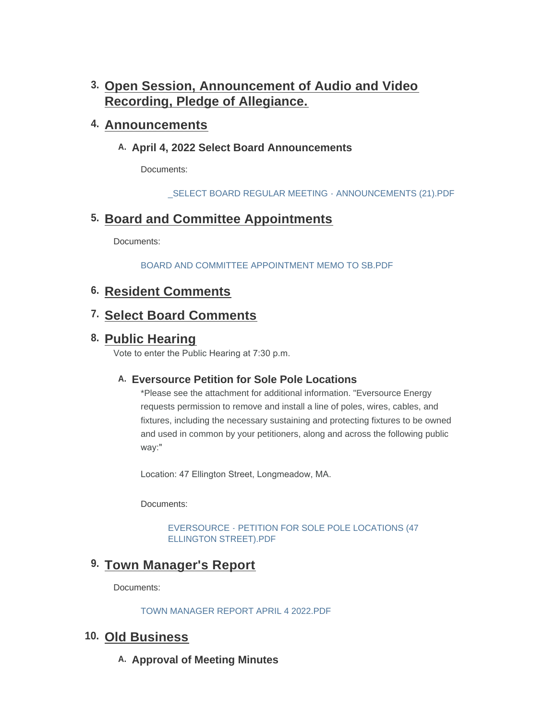# **Open Session, Announcement of Audio and Video 3. Recording, Pledge of Allegiance.**

## **Announcements 4.**

## A. April 4, 2022 Select Board Announcements

Documents:

[\\_SELECT BOARD REGULAR MEETING - ANNOUNCEMENTS \(21\).PDF](https://www.longmeadow.org/AgendaCenter/ViewFile/Item/2206?fileID=21982)

# **Board and Committee Appointments 5.**

Documents:

[BOARD AND COMMITTEE APPOINTMENT MEMO TO SB.PDF](https://www.longmeadow.org/AgendaCenter/ViewFile/Item/2219?fileID=21964)

# **Resident Comments 6.**

## **Select Board Comments 7.**

## **Public Hearing 8.**

Vote to enter the Public Hearing at 7:30 p.m.

## **Eversource Petition for Sole Pole Locations A.**

\*Please see the attachment for additional information. "Eversource Energy requests permission to remove and install a line of poles, wires, cables, and fixtures, including the necessary sustaining and protecting fixtures to be owned and used in common by your petitioners, along and across the following public way:"

Location: 47 Ellington Street, Longmeadow, MA.

Documents:

[EVERSOURCE - PETITION FOR SOLE POLE LOCATIONS \(47](https://www.longmeadow.org/AgendaCenter/ViewFile/Item/2217?fileID=21965)  ELLINGTON STREET).PDF

# **Town Manager's Report 9.**

Documents:

[TOWN MANAGER REPORT APRIL 4 2022.PDF](https://www.longmeadow.org/AgendaCenter/ViewFile/Item/2182?fileID=21994)

## **Old Business 10.**

A. Approval of Meeting Minutes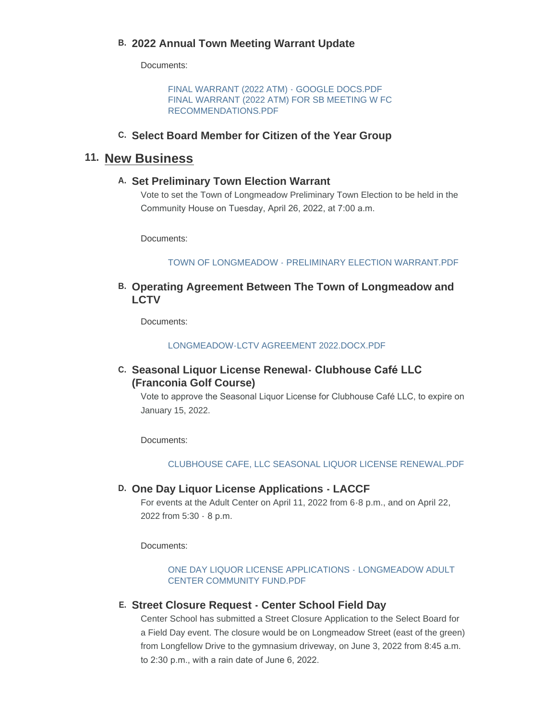## **2022 Annual Town Meeting Warrant Update B.**

Documents:

[FINAL WARRANT \(2022 ATM\) - GOOGLE DOCS.PDF](https://www.longmeadow.org/AgendaCenter/ViewFile/Item/2221?fileID=21967) [FINAL WARRANT \(2022 ATM\) FOR SB MEETING W FC](https://www.longmeadow.org/AgendaCenter/ViewFile/Item/2221?fileID=21983)  RECOMMENDATIONS.PDF

## **Select Board Member for Citizen of the Year Group C.**

## 11. New Business

#### **Set Preliminary Town Election Warrant A.**

Vote to set the Town of Longmeadow Preliminary Town Election to be held in the Community House on Tuesday, April 26, 2022, at 7:00 a.m.

Documents:

TOWN OF LONGMEADOW - PRELIMINARY FLECTION WARRANT PDF

### **Operating Agreement Between The Town of Longmeadow and B. LCTV**

Documents:

[LONGMEADOW-LCTV AGREEMENT 2022.DOCX.PDF](https://www.longmeadow.org/AgendaCenter/ViewFile/Item/2223?fileID=21968)

### **Seasonal Liquor License Renewal- Clubhouse Café LLC C. (Franconia Golf Course)**

Vote to approve the Seasonal Liquor License for Clubhouse Café LLC, to expire on January 15, 2022.

Documents:

#### [CLUBHOUSE CAFE, LLC SEASONAL LIQUOR LICENSE RENEWAL.PDF](https://www.longmeadow.org/AgendaCenter/ViewFile/Item/2225?fileID=21963)

#### **One Day Liquor License Applications - LACCF D.**

For events at the Adult Center on April 11, 2022 from 6-8 p.m., and on April 22, 2022 from 5:30 - 8 p.m.

Documents:

[ONE DAY LIQUOR LICENSE APPLICATIONS -](https://www.longmeadow.org/AgendaCenter/ViewFile/Item/2226?fileID=21966) LONGMEADOW ADULT CENTER COMMUNITY FUND.PDF

#### **Street Closure Request - Center School Field Day E.**

Center School has submitted a Street Closure Application to the Select Board for a Field Day event. The closure would be on Longmeadow Street (east of the green) from Longfellow Drive to the gymnasium driveway, on June 3, 2022 from 8:45 a.m. to 2:30 p.m., with a rain date of June 6, 2022.